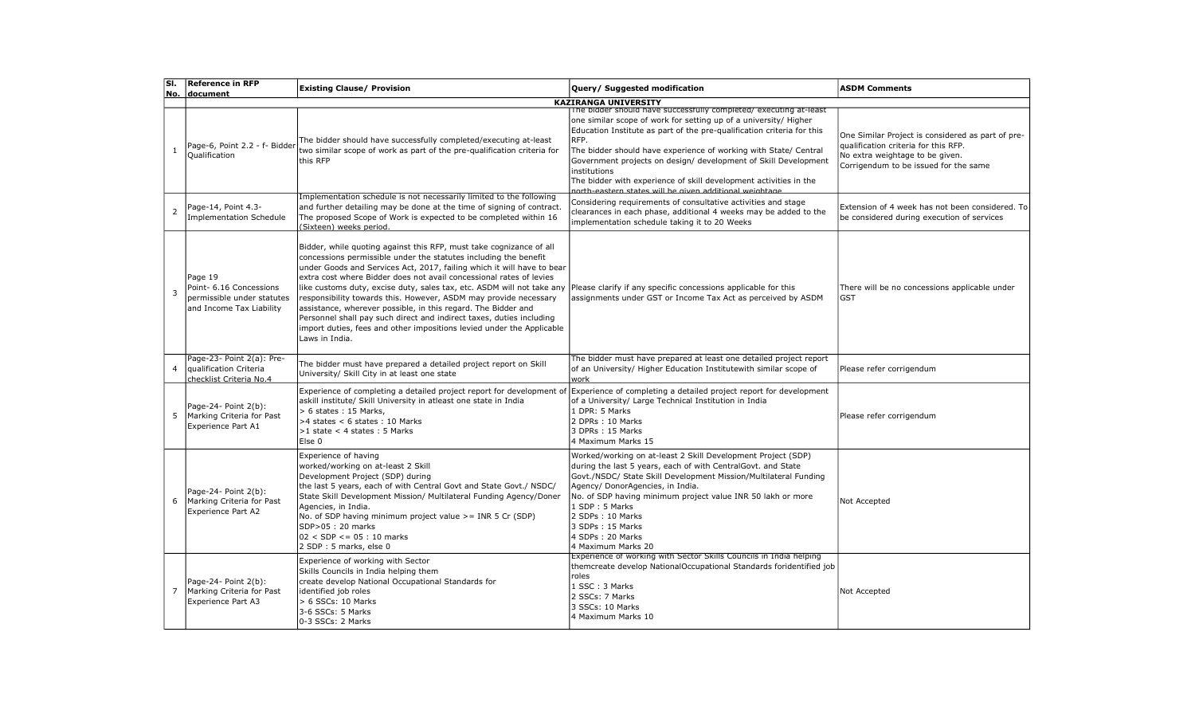| lsı.           | <b>Reference in RFP</b>                                                                      | <b>Existing Clause/ Provision</b>                                                                                                                                                                                                                                                                                                                                                                                                                                                                                                                                                                                                                                                                                                         | Query/ Suggested modification                                                                                                                                                                                                                                                                                                                                                                                                                                                                                 | <b>ASDM Comments</b>                                                                                                                                                  |
|----------------|----------------------------------------------------------------------------------------------|-------------------------------------------------------------------------------------------------------------------------------------------------------------------------------------------------------------------------------------------------------------------------------------------------------------------------------------------------------------------------------------------------------------------------------------------------------------------------------------------------------------------------------------------------------------------------------------------------------------------------------------------------------------------------------------------------------------------------------------------|---------------------------------------------------------------------------------------------------------------------------------------------------------------------------------------------------------------------------------------------------------------------------------------------------------------------------------------------------------------------------------------------------------------------------------------------------------------------------------------------------------------|-----------------------------------------------------------------------------------------------------------------------------------------------------------------------|
|                | No. document                                                                                 |                                                                                                                                                                                                                                                                                                                                                                                                                                                                                                                                                                                                                                                                                                                                           | <b>KAZIRANGA UNIVERSITY</b>                                                                                                                                                                                                                                                                                                                                                                                                                                                                                   |                                                                                                                                                                       |
| 1              | Page-6, Point 2.2 - f- Bidder<br>Qualification                                               | The bidder should have successfully completed/executing at-least<br>two similar scope of work as part of the pre-qualification criteria for<br>this RFP                                                                                                                                                                                                                                                                                                                                                                                                                                                                                                                                                                                   | The bidder should have successfully completed/executing at-least<br>one similar scope of work for setting up of a university/ Higher<br>Education Institute as part of the pre-qualification criteria for this<br>RFP.<br>The bidder should have experience of working with State/ Central<br>Government projects on design/ development of Skill Development<br>institutions<br>The bidder with experience of skill development activities in the<br>north-eastern states will he given additional weightage | One Similar Project is considered as part of pre-<br>qualification criteria for this RFP.<br>No extra weightage to be given.<br>Corrigendum to be issued for the same |
| 2              | Page-14, Point 4.3-<br>Implementation Schedule                                               | Implementation schedule is not necessarily limited to the following<br>and further detailing may be done at the time of signing of contract.<br>The proposed Scope of Work is expected to be completed within 16<br>(Sixteen) weeks period.                                                                                                                                                                                                                                                                                                                                                                                                                                                                                               | Considering requirements of consultative activities and stage<br>clearances in each phase, additional 4 weeks may be added to the<br>implementation schedule taking it to 20 Weeks                                                                                                                                                                                                                                                                                                                            | Extension of 4 week has not been considered. To<br>be considered during execution of services                                                                         |
| 3              | Page 19<br>Point- 6.16 Concessions<br>permissible under statutes<br>and Income Tax Liability | Bidder, while quoting against this RFP, must take cognizance of all<br>concessions permissible under the statutes including the benefit<br>under Goods and Services Act, 2017, failing which it will have to bear<br>extra cost where Bidder does not avail concessional rates of levies<br>like customs duty, excise duty, sales tax, etc. ASDM will not take any Please clarify if any specific concessions applicable for this<br>responsibility towards this. However, ASDM may provide necessary<br>assistance, wherever possible, in this regard. The Bidder and<br>Personnel shall pay such direct and indirect taxes, duties including<br>import duties, fees and other impositions levied under the Applicable<br>Laws in India. | assignments under GST or Income Tax Act as perceived by ASDM                                                                                                                                                                                                                                                                                                                                                                                                                                                  | There will be no concessions applicable under<br>GST                                                                                                                  |
| $\overline{4}$ | Page-23- Point 2(a): Pre-<br>laualification Criteria<br>checklist Criteria No.4              | The bidder must have prepared a detailed project report on Skill<br>University/ Skill City in at least one state                                                                                                                                                                                                                                                                                                                                                                                                                                                                                                                                                                                                                          | The bidder must have prepared at least one detailed project report<br>of an University/ Higher Education Institutewith similar scope of<br>work                                                                                                                                                                                                                                                                                                                                                               | Please refer corrigendum                                                                                                                                              |
| 5              | Page-24- Point 2(b):<br>Marking Criteria for Past<br>Experience Part A1                      | Experience of completing a detailed project report for development of<br>askill institute/ Skill University in atleast one state in India<br>> 6 states: 15 Marks,<br>$>4$ states < 6 states : 10 Marks<br>$>1$ state < 4 states : 5 Marks<br>Else 0                                                                                                                                                                                                                                                                                                                                                                                                                                                                                      | Experience of completing a detailed project report for development<br>of a University/ Large Technical Institution in India<br>1 DPR: 5 Marks<br>2 DPRs: 10 Marks<br>3 DPRs: 15 Marks<br>4 Maximum Marks 15                                                                                                                                                                                                                                                                                                   | Please refer corrigendum                                                                                                                                              |
|                | Page-24- Point 2(b):<br>Marking Criteria for Past<br><b>Experience Part A2</b>               | Experience of having<br>worked/working on at-least 2 Skill<br>Development Project (SDP) during<br>the last 5 years, each of with Central Govt and State Govt./ NSDC/<br>State Skill Development Mission/ Multilateral Funding Agency/Doner<br>Agencies, in India.<br>No. of SDP having minimum project value $\geq$ = INR 5 Cr (SDP)<br>SDP>05: 20 marks<br>$02 < SDP \le 05 : 10 \text{ marks}$<br>2 SDP: 5 marks, else 0                                                                                                                                                                                                                                                                                                                | Worked/working on at-least 2 Skill Development Project (SDP)<br>during the last 5 years, each of with CentralGovt. and State<br>Govt./NSDC/ State Skill Development Mission/Multilateral Funding<br>Agency/ DonorAgencies, in India.<br>No. of SDP having minimum project value INR 50 lakh or more<br>1 SDP: 5 Marks<br>2 SDPs : 10 Marks<br>3 SDPs: 15 Marks<br>4 SDPs: 20 Marks<br>4 Maximum Marks 20                                                                                                      | Not Accepted                                                                                                                                                          |
|                | Page-24- Point 2(b):<br>Marking Criteria for Past<br>Experience Part A3                      | Experience of working with Sector<br>Skills Councils in India helping them<br>create develop National Occupational Standards for<br>identified job roles<br>> 6 SSCs: 10 Marks<br>3-6 SSCs: 5 Marks<br>0-3 SSCs: 2 Marks                                                                                                                                                                                                                                                                                                                                                                                                                                                                                                                  | Experience of working with Sector Skills Councils in India helping<br>themcreate develop NationalOccupational Standards foridentified job<br>roles<br>1 SSC: 3 Marks<br>2 SSCs: 7 Marks<br>3 SSCs: 10 Marks<br>4 Maximum Marks 10                                                                                                                                                                                                                                                                             | Not Accepted                                                                                                                                                          |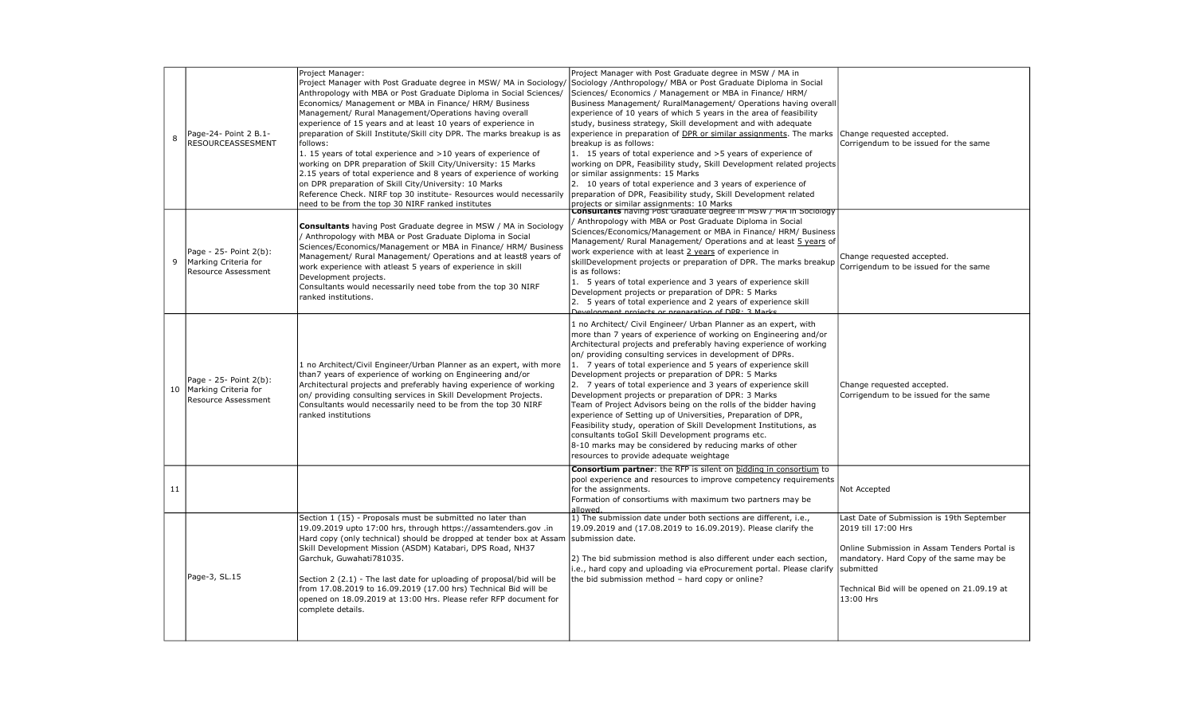| 8  | Page-24- Point 2 B.1-<br><b>RESOURCEASSESMENT</b>                     | Project Manager:<br>Project Manager with Post Graduate degree in MSW/ MA in Sociology/<br>Anthropology with MBA or Post Graduate Diploma in Social Sciences/<br>Economics/ Management or MBA in Finance/ HRM/ Business<br>Management/ Rural Management/Operations having overall<br>experience of 15 years and at least 10 years of experience in<br>preparation of Skill Institute/Skill city DPR. The marks breakup is as<br>follows:<br>1. 15 years of total experience and >10 years of experience of<br>working on DPR preparation of Skill City/University: 15 Marks<br>2.15 years of total experience and 8 years of experience of working<br>on DPR preparation of Skill City/University: 10 Marks<br>Reference Check. NIRF top 30 institute- Resources would necessarily<br>need to be from the top 30 NIRF ranked institutes | Project Manager with Post Graduate degree in MSW / MA in<br>Sociology /Anthropology/ MBA or Post Graduate Diploma in Social<br>Sciences/ Economics / Management or MBA in Finance/ HRM/<br>Business Management/ RuralManagement/ Operations having overall<br>experience of 10 years of which 5 years in the area of feasibility<br>study, business strategy, Skill development and with adequate<br>experience in preparation of DPR or similar assignments. The marks<br>breakup is as follows:<br>1. 15 years of total experience and >5 years of experience of<br>working on DPR, Feasibility study, Skill Development related projects<br>or similar assignments: 15 Marks<br>2. 10 years of total experience and 3 years of experience of<br>preparation of DPR, Feasibility study, Skill Development related<br>projects or similar assignments: 10 Marks<br>  Consultants having Post Graduate degree in MSW / MA in Sociology | Change requested accepted.<br>Corrigendum to be issued for the same                                                                                                                                                                  |
|----|-----------------------------------------------------------------------|----------------------------------------------------------------------------------------------------------------------------------------------------------------------------------------------------------------------------------------------------------------------------------------------------------------------------------------------------------------------------------------------------------------------------------------------------------------------------------------------------------------------------------------------------------------------------------------------------------------------------------------------------------------------------------------------------------------------------------------------------------------------------------------------------------------------------------------|----------------------------------------------------------------------------------------------------------------------------------------------------------------------------------------------------------------------------------------------------------------------------------------------------------------------------------------------------------------------------------------------------------------------------------------------------------------------------------------------------------------------------------------------------------------------------------------------------------------------------------------------------------------------------------------------------------------------------------------------------------------------------------------------------------------------------------------------------------------------------------------------------------------------------------------|--------------------------------------------------------------------------------------------------------------------------------------------------------------------------------------------------------------------------------------|
| 9  | Page - 25- Point 2(b):<br>Marking Criteria for<br>Resource Assessment | <b>Consultants</b> having Post Graduate degree in MSW / MA in Sociology<br>/ Anthropology with MBA or Post Graduate Diploma in Social<br>Sciences/Economics/Management or MBA in Finance/ HRM/ Business<br>Management/ Rural Management/ Operations and at least8 years of<br>work experience with atleast 5 years of experience in skill<br>Development projects.<br>Consultants would necessarily need tobe from the top 30 NIRF<br>ranked institutions.                                                                                                                                                                                                                                                                                                                                                                             | Anthropology with MBA or Post Graduate Diploma in Social<br>Sciences/Economics/Management or MBA in Finance/ HRM/ Business<br>Management/ Rural Management/ Operations and at least 5 years of<br>work experience with at least 2 years of experience in<br>skillDevelopment projects or preparation of DPR. The marks breakup<br>is as follows:<br>1. 5 years of total experience and 3 years of experience skill<br>Development projects or preparation of DPR: 5 Marks<br>2. 5 years of total experience and 2 years of experience skill<br>Development projects or preparation of DDD . 2 Marks                                                                                                                                                                                                                                                                                                                                    | Change requested accepted.<br>Corrigendum to be issued for the same                                                                                                                                                                  |
| 10 | Page - 25- Point 2(b):<br>Marking Criteria for<br>Resource Assessment | 1 no Architect/Civil Engineer/Urban Planner as an expert, with more<br>than7 years of experience of working on Engineering and/or<br>Architectural projects and preferably having experience of working<br>on/ providing consulting services in Skill Development Projects.<br>Consultants would necessarily need to be from the top 30 NIRF<br>ranked institutions                                                                                                                                                                                                                                                                                                                                                                                                                                                                    | 1 no Architect/ Civil Engineer/ Urban Planner as an expert, with<br>more than 7 years of experience of working on Engineering and/or<br>Architectural projects and preferably having experience of working<br>on/ providing consulting services in development of DPRs.<br>1. 7 years of total experience and 5 years of experience skill<br>Development projects or preparation of DPR: 5 Marks<br>2. 7 years of total experience and 3 years of experience skill<br>Development projects or preparation of DPR: 3 Marks<br>Team of Project Advisors being on the rolls of the bidder having<br>experience of Setting up of Universities, Preparation of DPR,<br>Feasibility study, operation of Skill Development Institutions, as<br>consultants toGoI Skill Development programs etc.<br>8-10 marks may be considered by reducing marks of other<br>resources to provide adequate weightage                                        | Change requested accepted.<br>Corrigendum to be issued for the same                                                                                                                                                                  |
| 11 |                                                                       |                                                                                                                                                                                                                                                                                                                                                                                                                                                                                                                                                                                                                                                                                                                                                                                                                                        | <b>Consortium partner:</b> the RFP is silent on bidding in consortium to<br>pool experience and resources to improve competency requirements<br>for the assignments.<br>Formation of consortiums with maximum two partners may be<br>allowed.                                                                                                                                                                                                                                                                                                                                                                                                                                                                                                                                                                                                                                                                                          | Not Accepted                                                                                                                                                                                                                         |
|    | Page-3, SL.15                                                         | Section 1 (15) - Proposals must be submitted no later than<br>19.09.2019 upto 17:00 hrs, through https://assamtenders.gov .in<br>Hard copy (only technical) should be dropped at tender box at Assam<br>Skill Development Mission (ASDM) Katabari, DPS Road, NH37<br>Garchuk, Guwahati781035.<br>Section 2 (2.1) - The last date for uploading of proposal/bid will be<br>from 17.08.2019 to 16.09.2019 (17.00 hrs) Technical Bid will be<br>opened on 18.09.2019 at 13:00 Hrs. Please refer RFP document for<br>complete details.                                                                                                                                                                                                                                                                                                     | 1) The submission date under both sections are different, i.e.,<br>19.09.2019 and (17.08.2019 to 16.09.2019). Please clarify the<br>submission date.<br>2) The bid submission method is also different under each section,<br>i.e., hard copy and uploading via eProcurement portal. Please clarify<br>the bid submission method - hard copy or online?                                                                                                                                                                                                                                                                                                                                                                                                                                                                                                                                                                                | Last Date of Submission is 19th September<br>2019 till 17:00 Hrs<br>Online Submission in Assam Tenders Portal is<br>mandatory. Hard Copy of the same may be<br>submitted<br>Technical Bid will be opened on 21.09.19 at<br>13:00 Hrs |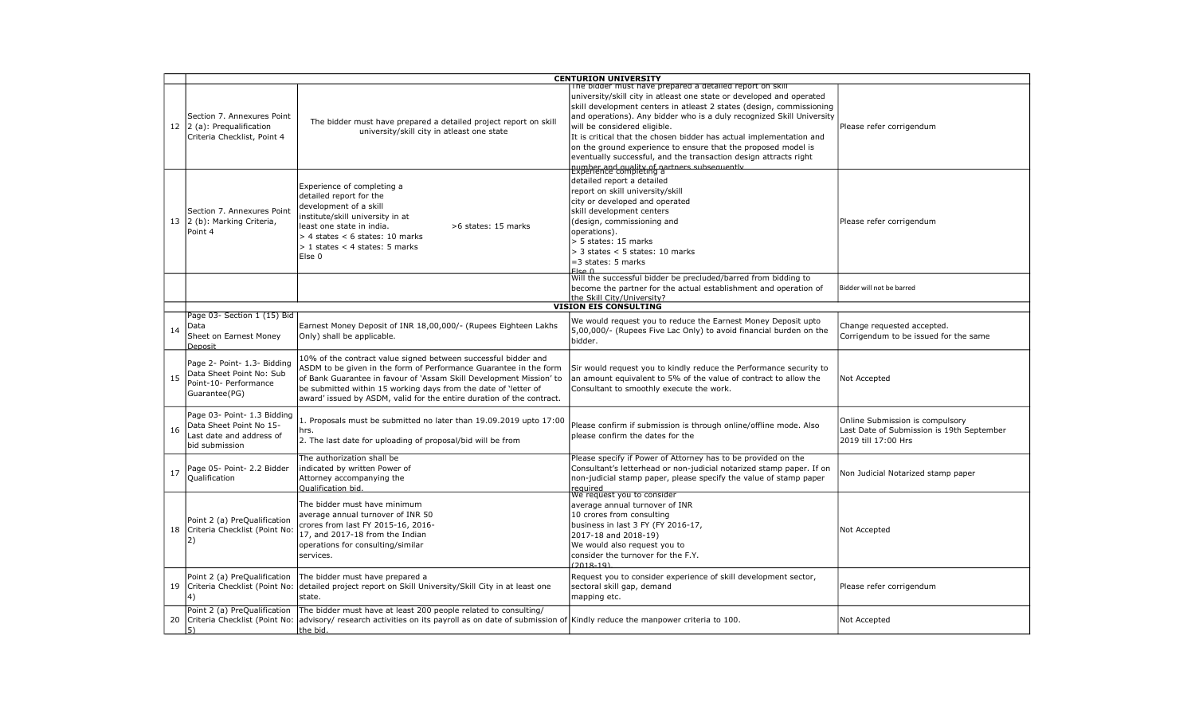|    | <b>CENTURION UNIVERSITY</b>                                                                          |                                                                                                                                                                                                                                                                                                                                                        |                                                                                                                                                                                                                                                                                                                                                                                                                                                                                                                                                                                                         |                                                                                                     |
|----|------------------------------------------------------------------------------------------------------|--------------------------------------------------------------------------------------------------------------------------------------------------------------------------------------------------------------------------------------------------------------------------------------------------------------------------------------------------------|---------------------------------------------------------------------------------------------------------------------------------------------------------------------------------------------------------------------------------------------------------------------------------------------------------------------------------------------------------------------------------------------------------------------------------------------------------------------------------------------------------------------------------------------------------------------------------------------------------|-----------------------------------------------------------------------------------------------------|
|    | Section 7. Annexures Point<br>12 2 (a): Pregualification<br>Criteria Checklist, Point 4              | The bidder must have prepared a detailed project report on skill<br>university/skill city in atleast one state                                                                                                                                                                                                                                         | The bidder must have prepared a detailed report on skill<br>university/skill city in atleast one state or developed and operated<br>skill development centers in atleast 2 states (design, commissioning<br>and operations). Any bidder who is a duly recognized Skill University<br>will be considered eligible.<br>It is critical that the chosen bidder has actual implementation and<br>on the ground experience to ensure that the proposed model is<br>eventually successful, and the transaction design attracts right<br>number and quality of partners subsequently<br>Experience completing a | Please refer corrigendum                                                                            |
|    | Section 7. Annexures Point<br>13 2 (b): Marking Criteria,<br>Point 4                                 | Experience of completing a<br>detailed report for the<br>development of a skill<br>institute/skill university in at<br>least one state in india.<br>>6 states: 15 marks<br>$>$ 4 states < 6 states: 10 marks<br>$> 1$ states < 4 states: 5 marks<br>Else 0                                                                                             | detailed report a detailed<br>report on skill university/skill<br>city or developed and operated<br>skill development centers<br>(design, commissioning and<br>operations).<br>> 5 states: 15 marks<br>$>$ 3 states < 5 states: 10 marks<br>$=$ 3 states: 5 marks<br>$F$ <sub>ce</sub> $\Omega$                                                                                                                                                                                                                                                                                                         | Please refer corrigendum                                                                            |
|    |                                                                                                      |                                                                                                                                                                                                                                                                                                                                                        | Will the successful bidder be precluded/barred from bidding to<br>become the partner for the actual establishment and operation of<br>the Skill City/University?                                                                                                                                                                                                                                                                                                                                                                                                                                        | Bidder will not be barred                                                                           |
|    | Page 03- Section 1 (15) Bid                                                                          |                                                                                                                                                                                                                                                                                                                                                        | <b>VISION EIS CONSULTING</b>                                                                                                                                                                                                                                                                                                                                                                                                                                                                                                                                                                            |                                                                                                     |
| 14 | Data<br>Sheet on Earnest Money<br><b>Deposit</b>                                                     | Earnest Money Deposit of INR 18,00,000/- (Rupees Eighteen Lakhs<br>Only) shall be applicable.                                                                                                                                                                                                                                                          | We would request you to reduce the Earnest Money Deposit upto<br>5,00,000/- (Rupees Five Lac Only) to avoid financial burden on the<br>bidder.                                                                                                                                                                                                                                                                                                                                                                                                                                                          | Change requested accepted.<br>Corrigendum to be issued for the same                                 |
| 15 | Page 2- Point- 1.3- Bidding<br>Data Sheet Point No: Sub<br>Point-10- Performance<br>Guarantee(PG)    | 10% of the contract value signed between successful bidder and<br>ASDM to be given in the form of Performance Guarantee in the form<br>of Bank Guarantee in favour of 'Assam Skill Development Mission' to<br>be submitted within 15 working days from the date of 'letter of<br>award' issued by ASDM, valid for the entire duration of the contract. | Sir would request you to kindly reduce the Performance security to<br>an amount equivalent to 5% of the value of contract to allow the<br>Consultant to smoothly execute the work.                                                                                                                                                                                                                                                                                                                                                                                                                      | Not Accepted                                                                                        |
| 16 | Page 03- Point- 1.3 Bidding<br>Data Sheet Point No 15-<br>Last date and address of<br>bid submission | 1. Proposals must be submitted no later than 19.09.2019 upto 17:00<br>hrs.<br>2. The last date for uploading of proposal/bid will be from                                                                                                                                                                                                              | Please confirm if submission is through online/offline mode. Also<br>please confirm the dates for the                                                                                                                                                                                                                                                                                                                                                                                                                                                                                                   | Online Submission is compulsory<br>Last Date of Submission is 19th September<br>2019 till 17:00 Hrs |
| 17 | Page 05- Point- 2.2 Bidder<br>Qualification                                                          | The authorization shall be<br>indicated by written Power of<br>Attorney accompanying the<br>Oualification bid.                                                                                                                                                                                                                                         | Please specify if Power of Attorney has to be provided on the<br>Consultant's letterhead or non-judicial notarized stamp paper. If on<br>non-judicial stamp paper, please specify the value of stamp paper<br>required<br>We request you to consider                                                                                                                                                                                                                                                                                                                                                    | Non Judicial Notarized stamp paper                                                                  |
| 18 | Point 2 (a) PreQualification<br>Criteria Checklist (Point No:<br> 2)                                 | The bidder must have minimum<br>average annual turnover of INR 50<br>crores from last FY 2015-16, 2016-<br>17, and 2017-18 from the Indian<br>operations for consulting/similar<br>services.                                                                                                                                                           | average annual turnover of INR<br>10 crores from consulting<br>business in last 3 FY (FY 2016-17,<br>2017-18 and 2018-19)<br>We would also request you to<br>consider the turnover for the F.Y.<br>$(2018 - 19)$                                                                                                                                                                                                                                                                                                                                                                                        | Not Accepted                                                                                        |
|    | Point 2 (a) PreQualification<br>19 Criteria Checklist (Point No:<br>4)                               | The bidder must have prepared a<br>detailed project report on Skill University/Skill City in at least one<br>state.                                                                                                                                                                                                                                    | Request you to consider experience of skill development sector,<br>sectoral skill gap, demand<br>mapping etc.                                                                                                                                                                                                                                                                                                                                                                                                                                                                                           | Please refer corrigendum                                                                            |
| 20 | Point 2 (a) PreQualification<br>Criteria Checklist (Point No:<br>$\vert$ 5)                          | The bidder must have at least 200 people related to consulting/<br>advisory/ research activities on its payroll as on date of submission of Kindly reduce the manpower criteria to 100.<br>the bid.                                                                                                                                                    |                                                                                                                                                                                                                                                                                                                                                                                                                                                                                                                                                                                                         | Not Accepted                                                                                        |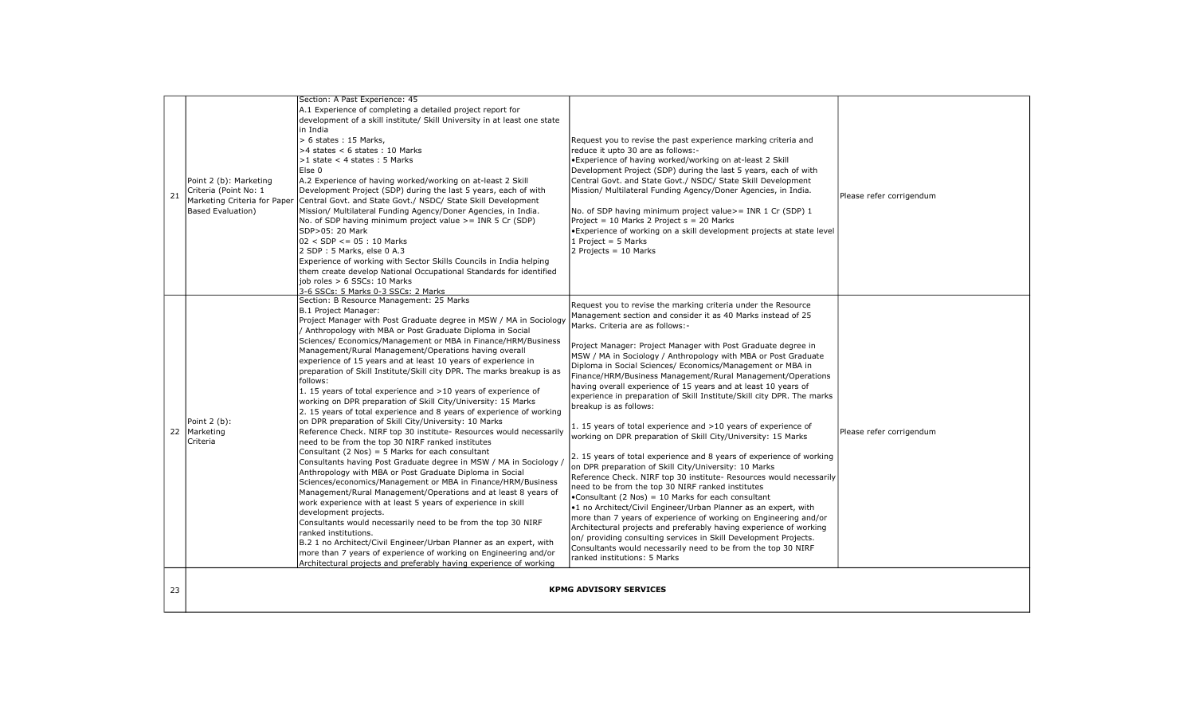| 21 | Point 2 (b): Marketing<br>Criteria (Point No: 1<br>Marketing Criteria for Paper<br>Based Evaluation) | Section: A Past Experience: 45<br>A.1 Experience of completing a detailed project report for<br>development of a skill institute/ Skill University in at least one state<br>in India<br>> 6 states: 15 Marks,<br>$>4$ states < 6 states : 10 Marks<br>$>1$ state < 4 states : 5 Marks<br>Else 0<br>A.2 Experience of having worked/working on at-least 2 Skill<br>Development Project (SDP) during the last 5 years, each of with<br>Central Govt. and State Govt./ NSDC/ State Skill Development<br>Mission/ Multilateral Funding Agency/Doner Agencies, in India.<br>No. of SDP having minimum project value $\geq$ INR 5 Cr (SDP)<br>SDP>05: 20 Mark<br>$02 <$ SDP <= 05 : 10 Marks<br>2 SDP: 5 Marks, else 0 A.3<br>Experience of working with Sector Skills Councils in India helping<br>them create develop National Occupational Standards for identified<br>job roles > 6 SSCs: 10 Marks<br>3-6 SSCs: 5 Marks 0-3 SSCs: 2 Marks                                                                                                                                                                                                                                                                                                                                                                                                                                                                                                                                                                                                                                                                         | Request you to revise the past experience marking criteria and<br>reduce it upto 30 are as follows:-<br>. Experience of having worked/working on at-least 2 Skill<br>Development Project (SDP) during the last 5 years, each of with<br>Central Govt. and State Govt./ NSDC/ State Skill Development<br>Mission/ Multilateral Funding Agency/Doner Agencies, in India.<br>No. of SDP having minimum project value> = INR 1 Cr (SDP) 1<br>Project = 10 Marks 2 Project s = 20 Marks<br>• Experience of working on a skill development projects at state level<br>1 Project = $5$ Marks<br>$2$ Projects = 10 Marks                                                                                                                                                                                                                                                                                                                                                                                                                                                                                                                                                                                                                                                                                                                                                                                                                                | Please refer corrigendum |
|----|------------------------------------------------------------------------------------------------------|-----------------------------------------------------------------------------------------------------------------------------------------------------------------------------------------------------------------------------------------------------------------------------------------------------------------------------------------------------------------------------------------------------------------------------------------------------------------------------------------------------------------------------------------------------------------------------------------------------------------------------------------------------------------------------------------------------------------------------------------------------------------------------------------------------------------------------------------------------------------------------------------------------------------------------------------------------------------------------------------------------------------------------------------------------------------------------------------------------------------------------------------------------------------------------------------------------------------------------------------------------------------------------------------------------------------------------------------------------------------------------------------------------------------------------------------------------------------------------------------------------------------------------------------------------------------------------------------------------------------|-------------------------------------------------------------------------------------------------------------------------------------------------------------------------------------------------------------------------------------------------------------------------------------------------------------------------------------------------------------------------------------------------------------------------------------------------------------------------------------------------------------------------------------------------------------------------------------------------------------------------------------------------------------------------------------------------------------------------------------------------------------------------------------------------------------------------------------------------------------------------------------------------------------------------------------------------------------------------------------------------------------------------------------------------------------------------------------------------------------------------------------------------------------------------------------------------------------------------------------------------------------------------------------------------------------------------------------------------------------------------------------------------------------------------------------------------|--------------------------|
|    | Point 2 (b):<br>22 Marketing<br>Criteria                                                             | Section: B Resource Management: 25 Marks<br>B.1 Project Manager:<br>Project Manager with Post Graduate degree in MSW / MA in Sociology<br>/ Anthropology with MBA or Post Graduate Diploma in Social<br>Sciences/ Economics/Management or MBA in Finance/HRM/Business<br>Management/Rural Management/Operations having overall<br>experience of 15 years and at least 10 years of experience in<br>preparation of Skill Institute/Skill city DPR. The marks breakup is as<br>follows:<br>1. 15 years of total experience and >10 years of experience of<br>working on DPR preparation of Skill City/University: 15 Marks<br>2. 15 years of total experience and 8 years of experience of working<br>on DPR preparation of Skill City/University: 10 Marks<br>Reference Check. NIRF top 30 institute- Resources would necessarily<br>need to be from the top 30 NIRF ranked institutes<br>Consultant (2 Nos) = $5$ Marks for each consultant<br>Consultants having Post Graduate degree in MSW / MA in Sociology<br>Anthropology with MBA or Post Graduate Diploma in Social<br>Sciences/economics/Management or MBA in Finance/HRM/Business<br>Management/Rural Management/Operations and at least 8 years of<br>work experience with at least 5 years of experience in skill<br>development projects.<br>Consultants would necessarily need to be from the top 30 NIRF<br>ranked institutions.<br>B.2 1 no Architect/Civil Engineer/Urban Planner as an expert, with<br>more than 7 years of experience of working on Engineering and/or<br>Architectural projects and preferably having experience of working | Request you to revise the marking criteria under the Resource<br>Management section and consider it as 40 Marks instead of 25<br>Marks. Criteria are as follows:-<br>Project Manager: Project Manager with Post Graduate degree in<br>MSW / MA in Sociology / Anthropology with MBA or Post Graduate<br>Diploma in Social Sciences/ Economics/Management or MBA in<br>Finance/HRM/Business Management/Rural Management/Operations<br>having overall experience of 15 years and at least 10 years of<br>experience in preparation of Skill Institute/Skill city DPR. The marks<br>breakup is as follows:<br>1. 15 years of total experience and >10 years of experience of<br>working on DPR preparation of Skill City/University: 15 Marks<br>2. 15 years of total experience and 8 years of experience of working<br>on DPR preparation of Skill City/University: 10 Marks<br>Reference Check. NIRF top 30 institute- Resources would necessarily<br>need to be from the top 30 NIRF ranked institutes<br>•Consultant (2 Nos) = 10 Marks for each consultant<br>.1 no Architect/Civil Engineer/Urban Planner as an expert, with<br>more than 7 years of experience of working on Engineering and/or<br>Architectural projects and preferably having experience of working<br>on/ providing consulting services in Skill Development Projects.<br>Consultants would necessarily need to be from the top 30 NIRF<br>ranked institutions: 5 Marks | Please refer corrigendum |
| 23 |                                                                                                      |                                                                                                                                                                                                                                                                                                                                                                                                                                                                                                                                                                                                                                                                                                                                                                                                                                                                                                                                                                                                                                                                                                                                                                                                                                                                                                                                                                                                                                                                                                                                                                                                                 | <b>KPMG ADVISORY SERVICES</b>                                                                                                                                                                                                                                                                                                                                                                                                                                                                                                                                                                                                                                                                                                                                                                                                                                                                                                                                                                                                                                                                                                                                                                                                                                                                                                                                                                                                                   |                          |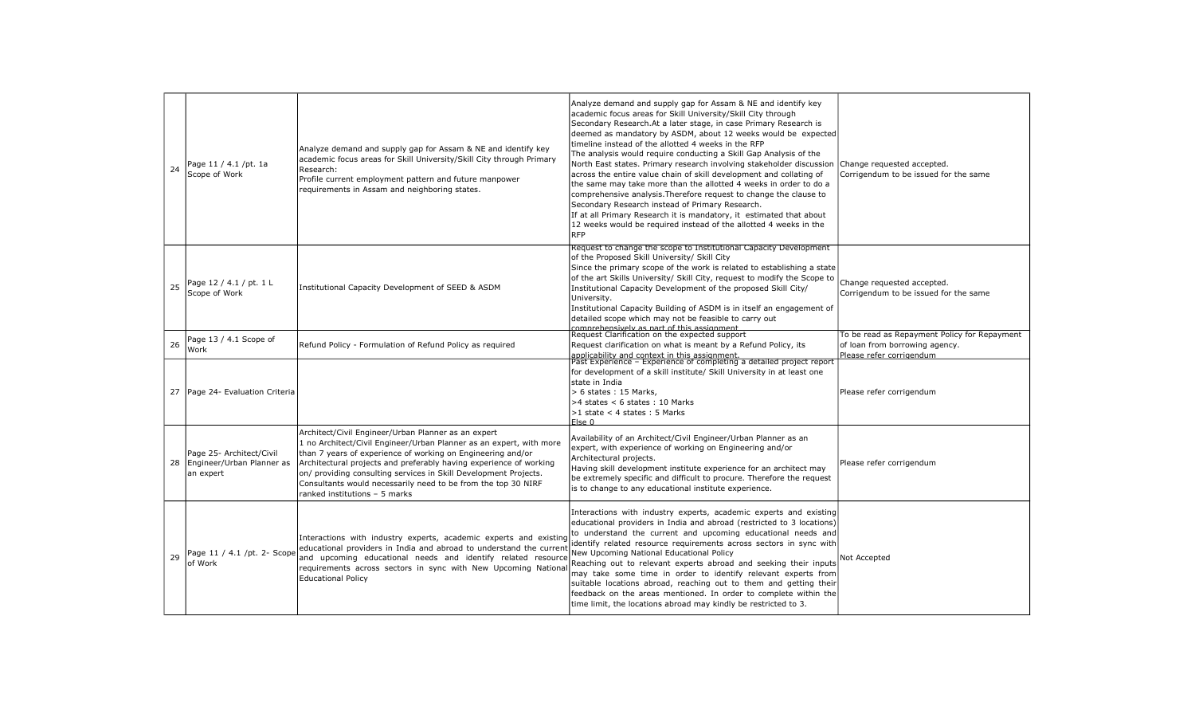| 24 | Page 11 / 4.1 /pt. 1a<br>Scope of Work                                  | Analyze demand and supply gap for Assam & NE and identify key<br>academic focus areas for Skill University/Skill City through Primary<br>Research:<br>Profile current employment pattern and future manpower<br>requirements in Assam and neighboring states.                                                                                                                                                                         | Analyze demand and supply gap for Assam & NE and identify key<br>academic focus areas for Skill University/Skill City through<br>Secondary Research. At a later stage, in case Primary Research is<br>deemed as mandatory by ASDM, about 12 weeks would be expected<br>timeline instead of the allotted 4 weeks in the RFP<br>The analysis would require conducting a Skill Gap Analysis of the<br>North East states. Primary research involving stakeholder discussion Change requested accepted.<br>across the entire value chain of skill development and collating of<br>the same may take more than the allotted 4 weeks in order to do a<br>comprehensive analysis. Therefore request to change the clause to<br>Secondary Research instead of Primary Research.<br>If at all Primary Research it is mandatory, it estimated that about<br>12 weeks would be required instead of the allotted 4 weeks in the<br><b>RFP</b> | Corrigendum to be issued for the same                                                                               |
|----|-------------------------------------------------------------------------|---------------------------------------------------------------------------------------------------------------------------------------------------------------------------------------------------------------------------------------------------------------------------------------------------------------------------------------------------------------------------------------------------------------------------------------|----------------------------------------------------------------------------------------------------------------------------------------------------------------------------------------------------------------------------------------------------------------------------------------------------------------------------------------------------------------------------------------------------------------------------------------------------------------------------------------------------------------------------------------------------------------------------------------------------------------------------------------------------------------------------------------------------------------------------------------------------------------------------------------------------------------------------------------------------------------------------------------------------------------------------------|---------------------------------------------------------------------------------------------------------------------|
| 25 | Page 12 / 4.1 / pt. 1 L<br>Scope of Work                                | Institutional Capacity Development of SEED & ASDM                                                                                                                                                                                                                                                                                                                                                                                     | Request to change the scope to Institutional Capacity Development<br>of the Proposed Skill University/ Skill City<br>Since the primary scope of the work is related to establishing a state<br>of the art Skills University/ Skill City, request to modify the Scope to<br>Institutional Capacity Development of the proposed Skill City/<br>University.<br>Institutional Capacity Building of ASDM is in itself an engagement of<br>detailed scope which may not be feasible to carry out<br>comprehensively as part of this assignment<br>Request Clarification on the expected support                                                                                                                                                                                                                                                                                                                                        | Change requested accepted.<br>Corrigendum to be issued for the same<br>To be read as Repayment Policy for Repayment |
| 26 | Page 13 / 4.1 Scope of<br>Work                                          | Refund Policy - Formulation of Refund Policy as required                                                                                                                                                                                                                                                                                                                                                                              | Request clarification on what is meant by a Refund Policy, its                                                                                                                                                                                                                                                                                                                                                                                                                                                                                                                                                                                                                                                                                                                                                                                                                                                                   | of loan from borrowing agency.                                                                                      |
|    | 27   Page 24 - Evaluation Criteria                                      |                                                                                                                                                                                                                                                                                                                                                                                                                                       | applicability and context in this assignment.<br>Past Experience - Experience of completing a detailed project report<br>for development of a skill institute/ Skill University in at least one<br>state in India<br>$> 6$ states : 15 Marks.<br>$>4$ states < 6 states : 10 Marks<br>$>1$ state < 4 states : 5 Marks<br>$F$ <sub>se</sub> $0$                                                                                                                                                                                                                                                                                                                                                                                                                                                                                                                                                                                   | Please refer corrigendum<br>Please refer corrigendum                                                                |
|    | Page 25- Architect/Civil<br>28   Engineer/Urban Planner as<br>an expert | Architect/Civil Engineer/Urban Planner as an expert<br>1 no Architect/Civil Engineer/Urban Planner as an expert, with more<br>than 7 years of experience of working on Engineering and/or<br>Architectural projects and preferably having experience of working<br>on/ providing consulting services in Skill Development Projects.<br>Consultants would necessarily need to be from the top 30 NIRF<br>ranked institutions - 5 marks | Availability of an Architect/Civil Engineer/Urban Planner as an<br>expert, with experience of working on Engineering and/or<br>Architectural projects.<br>Having skill development institute experience for an architect may<br>be extremely specific and difficult to procure. Therefore the request<br>is to change to any educational institute experience.                                                                                                                                                                                                                                                                                                                                                                                                                                                                                                                                                                   | Please refer corrigendum                                                                                            |
| 29 | Page 11 / 4.1 /pt. 2- Scope<br>of Work                                  | Interactions with industry experts, academic experts and existing<br>educational providers in India and abroad to understand the current<br>and upcoming educational needs and identify related resource<br>requirements across sectors in sync with New Upcoming National<br><b>Educational Policy</b>                                                                                                                               | Interactions with industry experts, academic experts and existing<br>educational providers in India and abroad (restricted to 3 locations)<br>to understand the current and upcoming educational needs and<br>identify related resource requirements across sectors in sync with<br>New Upcoming National Educational Policy<br>Reaching out to relevant experts abroad and seeking their inputs<br>may take some time in order to identify relevant experts from<br>suitable locations abroad, reaching out to them and getting their<br>feedback on the areas mentioned. In order to complete within the<br>time limit, the locations abroad may kindly be restricted to 3.                                                                                                                                                                                                                                                    | Not Accepted                                                                                                        |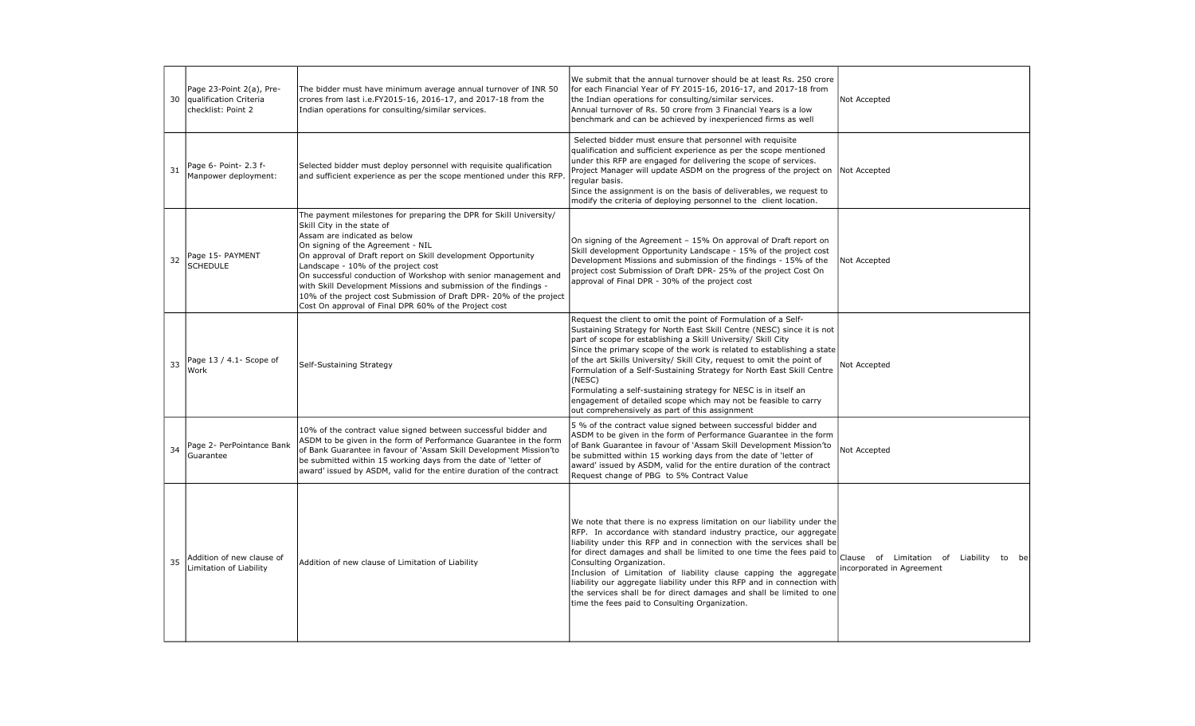| 30 | Page 23-Point 2(a), Pre-<br>qualification Criteria<br>checklist: Point 2 | The bidder must have minimum average annual turnover of INR 50<br>crores from last i.e.FY2015-16, 2016-17, and 2017-18 from the<br>Indian operations for consulting/similar services.                                                                                                                                                                                                                                                                                                                                                              | We submit that the annual turnover should be at least Rs. 250 crore<br>for each Financial Year of FY 2015-16, 2016-17, and 2017-18 from<br>the Indian operations for consulting/similar services.<br>Annual turnover of Rs. 50 crore from 3 Financial Years is a low<br>benchmark and can be achieved by inexperienced firms as well                                                                                                                                                                                                                                                                                                     | Not Accepted                                                            |
|----|--------------------------------------------------------------------------|----------------------------------------------------------------------------------------------------------------------------------------------------------------------------------------------------------------------------------------------------------------------------------------------------------------------------------------------------------------------------------------------------------------------------------------------------------------------------------------------------------------------------------------------------|------------------------------------------------------------------------------------------------------------------------------------------------------------------------------------------------------------------------------------------------------------------------------------------------------------------------------------------------------------------------------------------------------------------------------------------------------------------------------------------------------------------------------------------------------------------------------------------------------------------------------------------|-------------------------------------------------------------------------|
| 31 | Page 6- Point- 2.3 f-<br>Manpower deployment:                            | Selected bidder must deploy personnel with requisite qualification<br>and sufficient experience as per the scope mentioned under this RFP                                                                                                                                                                                                                                                                                                                                                                                                          | Selected bidder must ensure that personnel with requisite<br>qualification and sufficient experience as per the scope mentioned<br>under this RFP are engaged for delivering the scope of services.<br>Project Manager will update ASDM on the progress of the project on Not Accepted<br>regular basis.<br>Since the assignment is on the basis of deliverables, we request to<br>modify the criteria of deploying personnel to the client location.                                                                                                                                                                                    |                                                                         |
| 32 | Page 15- PAYMENT<br><b>SCHEDULE</b>                                      | The payment milestones for preparing the DPR for Skill University/<br>Skill City in the state of<br>Assam are indicated as below<br>On signing of the Agreement - NIL<br>On approval of Draft report on Skill development Opportunity<br>Landscape - 10% of the project cost<br>On successful conduction of Workshop with senior management and<br>with Skill Development Missions and submission of the findings -<br>10% of the project cost Submission of Draft DPR-20% of the project<br>Cost On approval of Final DPR 60% of the Project cost | On signing of the Agreement - 15% On approval of Draft report on<br>Skill development Opportunity Landscape - 15% of the project cost<br>Development Missions and submission of the findings - 15% of the<br>project cost Submission of Draft DPR- 25% of the project Cost On<br>approval of Final DPR - 30% of the project cost                                                                                                                                                                                                                                                                                                         | Not Accepted                                                            |
| 33 | Page 13 / 4.1- Scope of<br>Work                                          | Self-Sustaining Strategy                                                                                                                                                                                                                                                                                                                                                                                                                                                                                                                           | Request the client to omit the point of Formulation of a Self-<br>Sustaining Strategy for North East Skill Centre (NESC) since it is not<br>part of scope for establishing a Skill University/ Skill City<br>Since the primary scope of the work is related to establishing a state<br>of the art Skills University/ Skill City, request to omit the point of<br>Formulation of a Self-Sustaining Strategy for North East Skill Centre<br>(NESC)<br>Formulating a self-sustaining strategy for NESC is in itself an<br>engagement of detailed scope which may not be feasible to carry<br>out comprehensively as part of this assignment | Not Accepted                                                            |
| 34 | Page 2- PerPointance Bank<br>Guarantee                                   | 10% of the contract value signed between successful bidder and<br>ASDM to be given in the form of Performance Guarantee in the form<br>of Bank Guarantee in favour of 'Assam Skill Development Mission'to<br>be submitted within 15 working days from the date of 'letter of<br>award' issued by ASDM, valid for the entire duration of the contract                                                                                                                                                                                               | 5 % of the contract value signed between successful bidder and<br>ASDM to be given in the form of Performance Guarantee in the form<br>of Bank Guarantee in favour of 'Assam Skill Development Mission'to<br>be submitted within 15 working days from the date of 'letter of<br>award' issued by ASDM, valid for the entire duration of the contract<br>Request change of PBG to 5% Contract Value                                                                                                                                                                                                                                       | Not Accepted                                                            |
| 35 | Addition of new clause of<br>Limitation of Liability                     | Addition of new clause of Limitation of Liability                                                                                                                                                                                                                                                                                                                                                                                                                                                                                                  | We note that there is no express limitation on our liability under the<br>RFP. In accordance with standard industry practice, our aggregate<br>liability under this RFP and in connection with the services shall be<br>for direct damages and shall be limited to one time the fees paid to<br>Consulting Organization.<br>Inclusion of Limitation of liability clause capping the aggregate<br>liability our aggregate liability under this RFP and in connection with<br>the services shall be for direct damages and shall be limited to one<br>time the fees paid to Consulting Organization.                                       | Clause of Limitation of Liability<br>to be<br>incorporated in Agreement |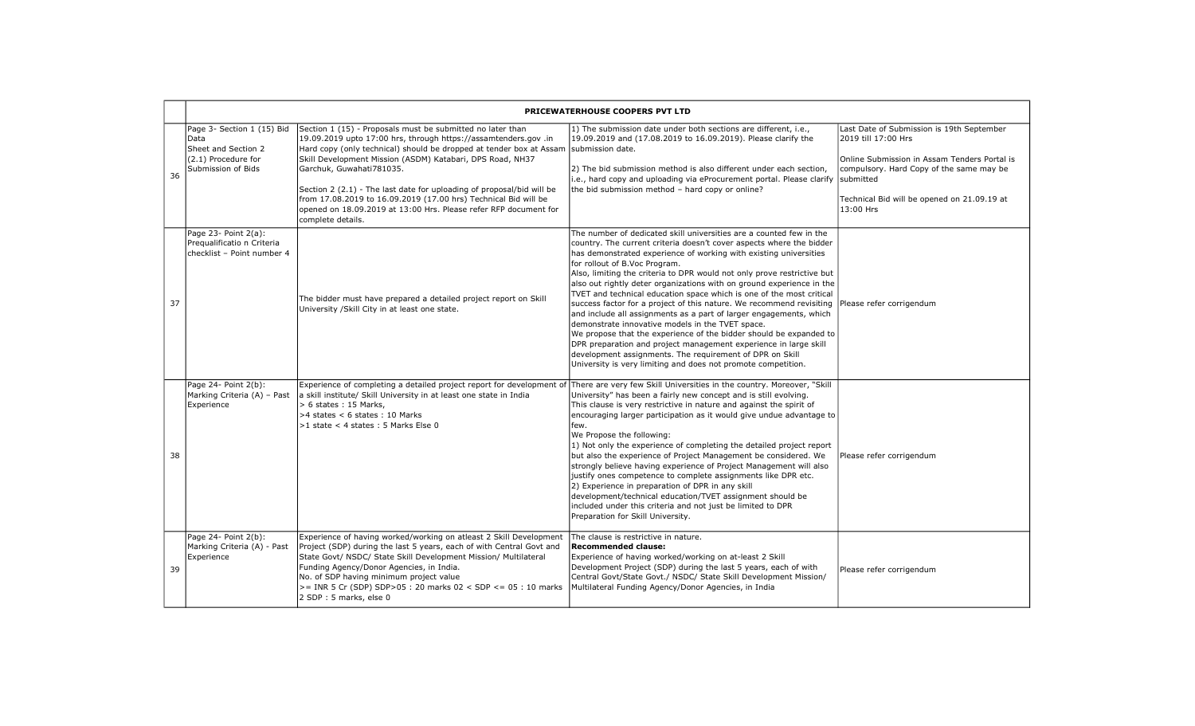|    | PRICEWATERHOUSE COOPERS PVT LTD                                                                        |                                                                                                                                                                                                                                                                                                                                                                                                                                                                                                                                                     |                                                                                                                                                                                                                                                                                                                                                                                                                                                                                                                                                                                                                                                                                                                                                                                                                                                                                                                                                        |                                                                                                                                                                                                                          |
|----|--------------------------------------------------------------------------------------------------------|-----------------------------------------------------------------------------------------------------------------------------------------------------------------------------------------------------------------------------------------------------------------------------------------------------------------------------------------------------------------------------------------------------------------------------------------------------------------------------------------------------------------------------------------------------|--------------------------------------------------------------------------------------------------------------------------------------------------------------------------------------------------------------------------------------------------------------------------------------------------------------------------------------------------------------------------------------------------------------------------------------------------------------------------------------------------------------------------------------------------------------------------------------------------------------------------------------------------------------------------------------------------------------------------------------------------------------------------------------------------------------------------------------------------------------------------------------------------------------------------------------------------------|--------------------------------------------------------------------------------------------------------------------------------------------------------------------------------------------------------------------------|
| 36 | Page 3- Section 1 (15) Bid<br>Data<br>Sheet and Section 2<br>(2.1) Procedure for<br>Submission of Bids | Section 1 (15) - Proposals must be submitted no later than<br>19.09.2019 upto 17:00 hrs, through https://assamtenders.gov .in<br>Hard copy (only technical) should be dropped at tender box at Assam submission date.<br>Skill Development Mission (ASDM) Katabari, DPS Road, NH37<br>Garchuk, Guwahati781035.<br>Section 2 (2.1) - The last date for uploading of proposal/bid will be<br>from 17.08.2019 to 16.09.2019 (17.00 hrs) Technical Bid will be<br>opened on 18.09.2019 at 13:00 Hrs. Please refer RFP document for<br>complete details. | 1) The submission date under both sections are different, i.e.,<br>19.09.2019 and (17.08.2019 to 16.09.2019). Please clarify the<br>2) The bid submission method is also different under each section,<br>i.e., hard copy and uploading via eProcurement portal. Please clarify submitted<br>the bid submission method - hard copy or online?                                                                                                                                                                                                                                                                                                                                                                                                                                                                                                                                                                                                          | Last Date of Submission is 19th September<br>2019 till 17:00 Hrs<br>Online Submission in Assam Tenders Portal is<br>compulsory. Hard Copy of the same may be<br>Technical Bid will be opened on 21.09.19 at<br>13:00 Hrs |
| 37 | Page 23- Point 2(a):<br>Pregualificatio n Criteria<br>checklist - Point number 4                       | The bidder must have prepared a detailed project report on Skill<br>University / Skill City in at least one state.                                                                                                                                                                                                                                                                                                                                                                                                                                  | The number of dedicated skill universities are a counted few in the<br>country. The current criteria doesn't cover aspects where the bidder<br>has demonstrated experience of working with existing universities<br>for rollout of B.Voc Program.<br>Also, limiting the criteria to DPR would not only prove restrictive but<br>also out rightly deter organizations with on ground experience in the<br>TVET and technical education space which is one of the most critical<br>success factor for a project of this nature. We recommend revisiting<br>and include all assignments as a part of larger engagements, which<br>demonstrate innovative models in the TVET space.<br>We propose that the experience of the bidder should be expanded to<br>DPR preparation and project management experience in large skill<br>development assignments. The requirement of DPR on Skill<br>University is very limiting and does not promote competition. | Please refer corrigendum                                                                                                                                                                                                 |
| 38 | Page 24- Point 2(b):<br>Marking Criteria (A) - Past<br>Experience                                      | Experience of completing a detailed project report for development of There are very few Skill Universities in the country. Moreover, "Skill<br>a skill institute/ Skill University in at least one state in India<br>> 6 states: 15 Marks,<br>>4 states < 6 states: 10 Marks<br>>1 state < 4 states: 5 Marks Else 0                                                                                                                                                                                                                                | University" has been a fairly new concept and is still evolving.<br>This clause is very restrictive in nature and against the spirit of<br>encouraging larger participation as it would give undue advantage to<br>lfew.<br>We Propose the following:<br>1) Not only the experience of completing the detailed project report<br>but also the experience of Project Management be considered. We<br>strongly believe having experience of Project Management will also<br>justify ones competence to complete assignments like DPR etc.<br>[2] Experience in preparation of DPR in any skill<br>development/technical education/TVET assignment should be<br>included under this criteria and not just be limited to DPR<br>Preparation for Skill University.                                                                                                                                                                                          | Please refer corrigendum                                                                                                                                                                                                 |
| 39 | Page 24- Point 2(b):<br>Marking Criteria (A) - Past<br>Experience                                      | Experience of having worked/working on atleast 2 Skill Development<br>Project (SDP) during the last 5 years, each of with Central Govt and<br>State Govt/ NSDC/ State Skill Development Mission/ Multilateral<br>Funding Agency/Donor Agencies, in India.<br>No. of SDP having minimum project value<br>$>=$ INR 5 Cr (SDP) SDP > 05 : 20 marks 02 < SDP <= 05 : 10 marks<br>2 SDP: 5 marks, else 0                                                                                                                                                 | The clause is restrictive in nature.<br>Recommended clause:<br>Experience of having worked/working on at-least 2 Skill<br>Development Project (SDP) during the last 5 years, each of with<br>Central Govt/State Govt./ NSDC/ State Skill Development Mission/<br>Multilateral Funding Agency/Donor Agencies, in India                                                                                                                                                                                                                                                                                                                                                                                                                                                                                                                                                                                                                                  | Please refer corrigendum                                                                                                                                                                                                 |